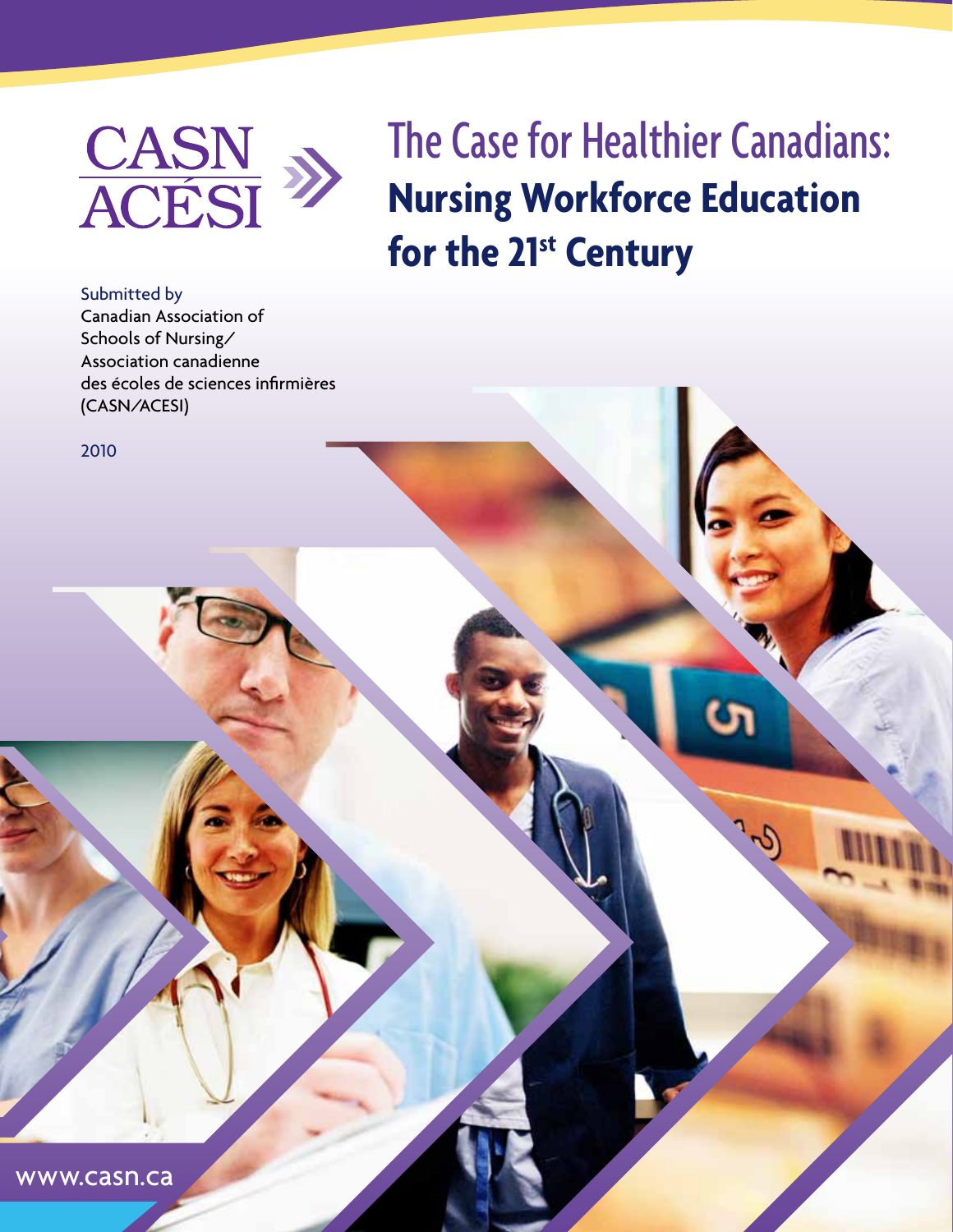

The Case for Healthier Canadians: **Nursing Workforce Education for the 21st Century**

Submitted by Canadian Association of Schools of Nursing/ Association canadienne des écoles de sciences infirmières (CASN/ACESI)

2010

www.casn.ca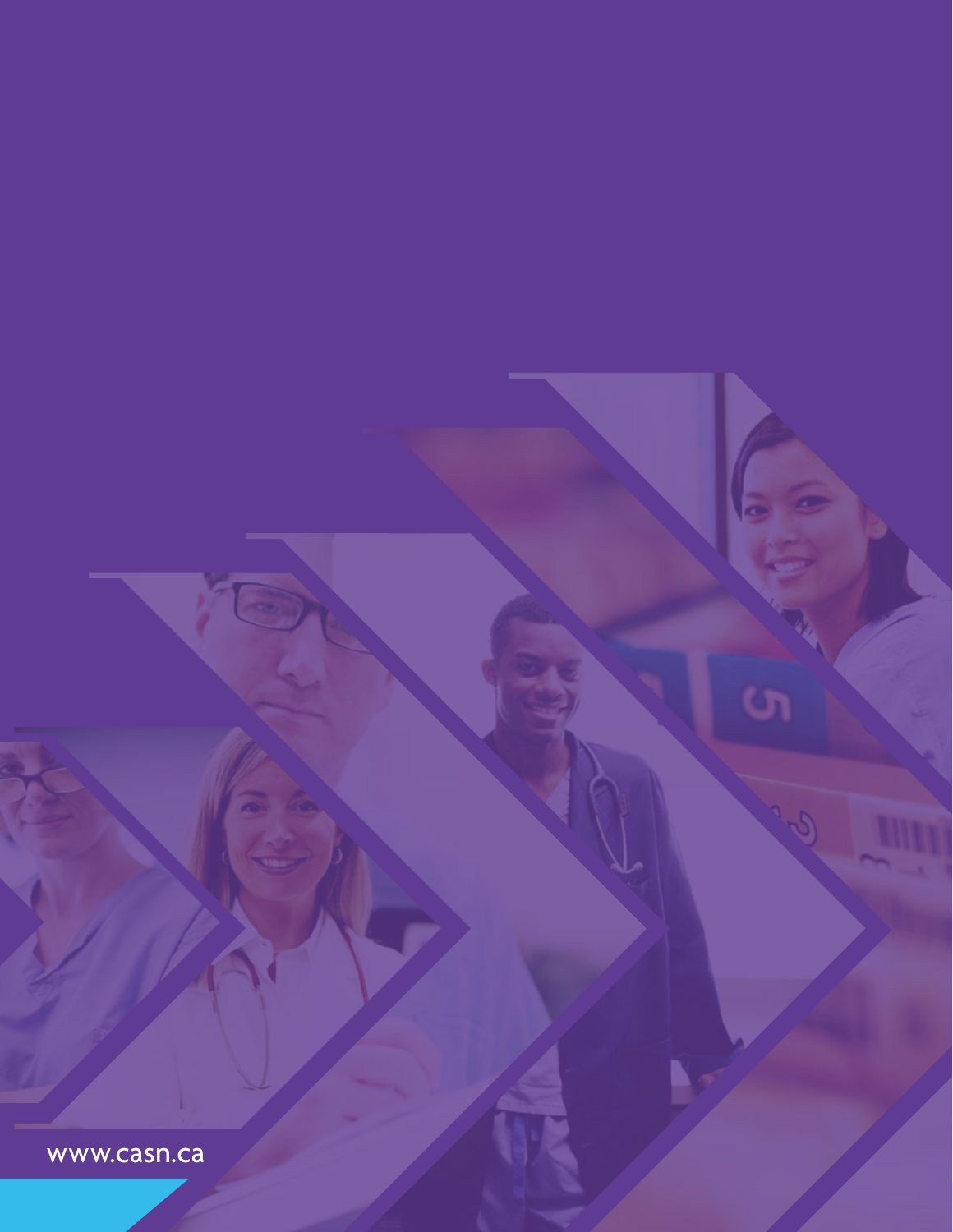www.casn.ca

 $\sigma$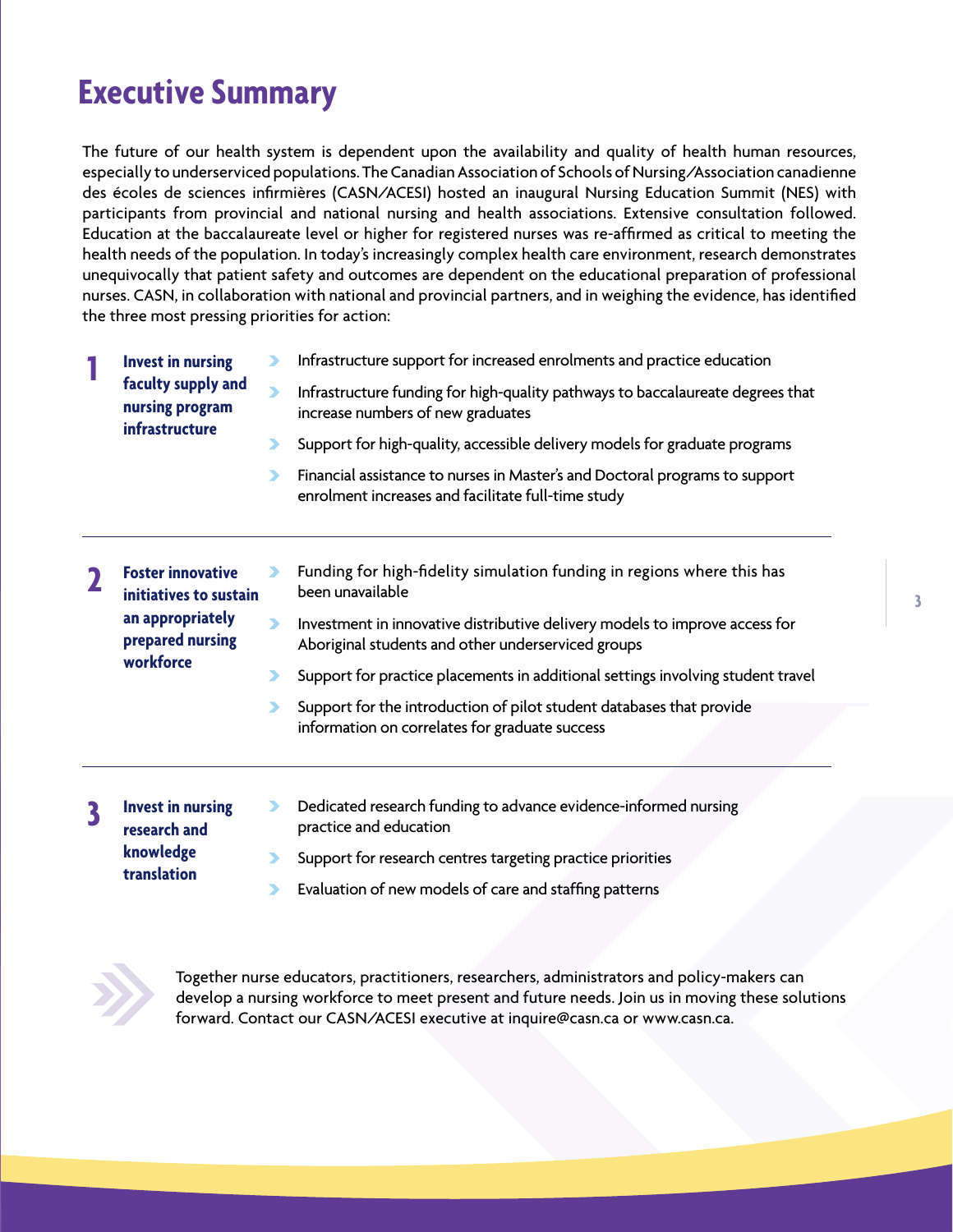## **Executive Summary**

The future of our health system is dependent upon the availability and quality of health human resources, especially to underserviced populations. The Canadian Association of Schools of Nursing/Association canadienne des écoles de sciences infirmières (CASN/ACESI) hosted an inaugural Nursing Education Summit (NES) with participants from provincial and national nursing and health associations. Extensive consultation followed. Education at the baccalaureate level or higher for registered nurses was re-affirmed as critical to meeting the health needs of the population. In today's increasingly complex health care environment, research demonstrates unequivocally that patient safety and outcomes are dependent on the educational preparation of professional nurses. CASN, in collaboration with national and provincial partners, and in weighing the evidence, has identified the three most pressing priorities for action:

|  | <b>Invest in nursing</b><br>faculty supply and<br>nursing program<br><b>infrastructure</b>              |   | Infrastructure support for increased enrolments and practice education                                                            |
|--|---------------------------------------------------------------------------------------------------------|---|-----------------------------------------------------------------------------------------------------------------------------------|
|  |                                                                                                         | ⋗ | Infrastructure funding for high-quality pathways to baccalaureate degrees that<br>increase numbers of new graduates               |
|  |                                                                                                         |   | Support for high-quality, accessible delivery models for graduate programs                                                        |
|  |                                                                                                         |   | Financial assistance to nurses in Master's and Doctoral programs to support<br>enrolment increases and facilitate full-time study |
|  |                                                                                                         |   |                                                                                                                                   |
|  | <b>Foster innovative</b><br>initiatives to sustain<br>an appropriately<br>prepared nursing<br>workforce |   | Funding for high-fidelity simulation funding in regions where this has<br>been unavailable                                        |
|  |                                                                                                         |   | Investment in innovative distributive delivery models to improve access for<br>Aboriginal students and other underserviced groups |
|  |                                                                                                         |   | Support for practice placements in additional settings involving student travel                                                   |
|  |                                                                                                         |   | Support for the introduction of pilot student databases that provide<br>information on correlates for graduate success            |
|  |                                                                                                         |   |                                                                                                                                   |

**Invest in nursing research and knowledge translation 3**

- Dedicated research funding to advance evidence-informed nursing  $\blacktriangleright$ practice and education
- $\blacktriangleright$ Support for research centres targeting practice priorities
- Evaluation of new models of care and staffing patterns  $\blacktriangleright$



Together nurse educators, practitioners, researchers, administrators and policy-makers can develop a nursing workforce to meet present and future needs. Join us in moving these solutions forward. Contact our CASN/ACESI executive at inquire@casn.ca or www.casn.ca.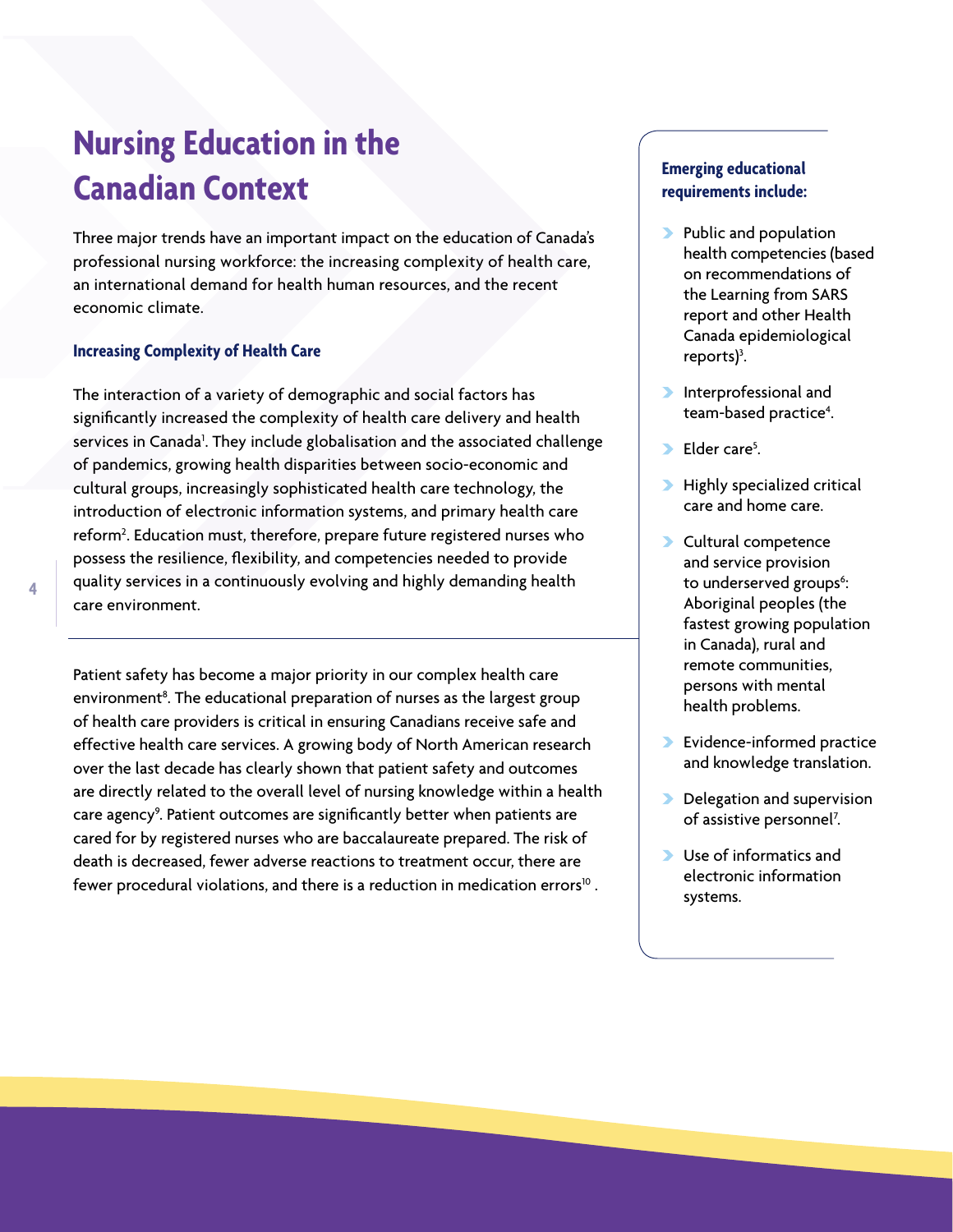# **Nursing Education in the Canadian Context**

Three major trends have an important impact on the education of Canada's professional nursing workforce: the increasing complexity of health care, an international demand for health human resources, and the recent economic climate.

### **Increasing Complexity of Health Care**

The interaction of a variety of demographic and social factors has significantly increased the complexity of health care delivery and health services in Canada<sup>1</sup>. They include globalisation and the associated challenge of pandemics, growing health disparities between socio-economic and cultural groups, increasingly sophisticated health care technology, the introduction of electronic information systems, and primary health care reform2 . Education must, therefore, prepare future registered nurses who possess the resilience, flexibility, and competencies needed to provide quality services in a continuously evolving and highly demanding health care environment.

Patient safety has become a major priority in our complex health care environment<sup>8</sup>. The educational preparation of nurses as the largest group of health care providers is critical in ensuring Canadians receive safe and effective health care services. A growing body of North American research over the last decade has clearly shown that patient safety and outcomes are directly related to the overall level of nursing knowledge within a health care agency<sup>9</sup>. Patient outcomes are significantly better when patients are cared for by registered nurses who are baccalaureate prepared. The risk of death is decreased, fewer adverse reactions to treatment occur, there are fewer procedural violations, and there is a reduction in medication errors<sup>10</sup>.

## **Emerging educational requirements include:**

- **Public and population** health competencies (based on recommendations of the Learning from SARS report and other Health Canada epidemiological reports $)^3$ . .
- **Interprofessional and** team-based practice<sup>4</sup>. .
- $\blacktriangleright$  Elder care<sup>5</sup>. .
- **Highly specialized critical** care and home care.
- Cultural competence and service provision to underserved groups<sup>6</sup>: Aboriginal peoples (the fastest growing population in Canada), rural and remote communities, persons with mental health problems.
- Evidence-informed practice and knowledge translation.
- Delegation and supervision of assistive personnel<sup>7</sup>. .
- Use of informatics and electronic information systems.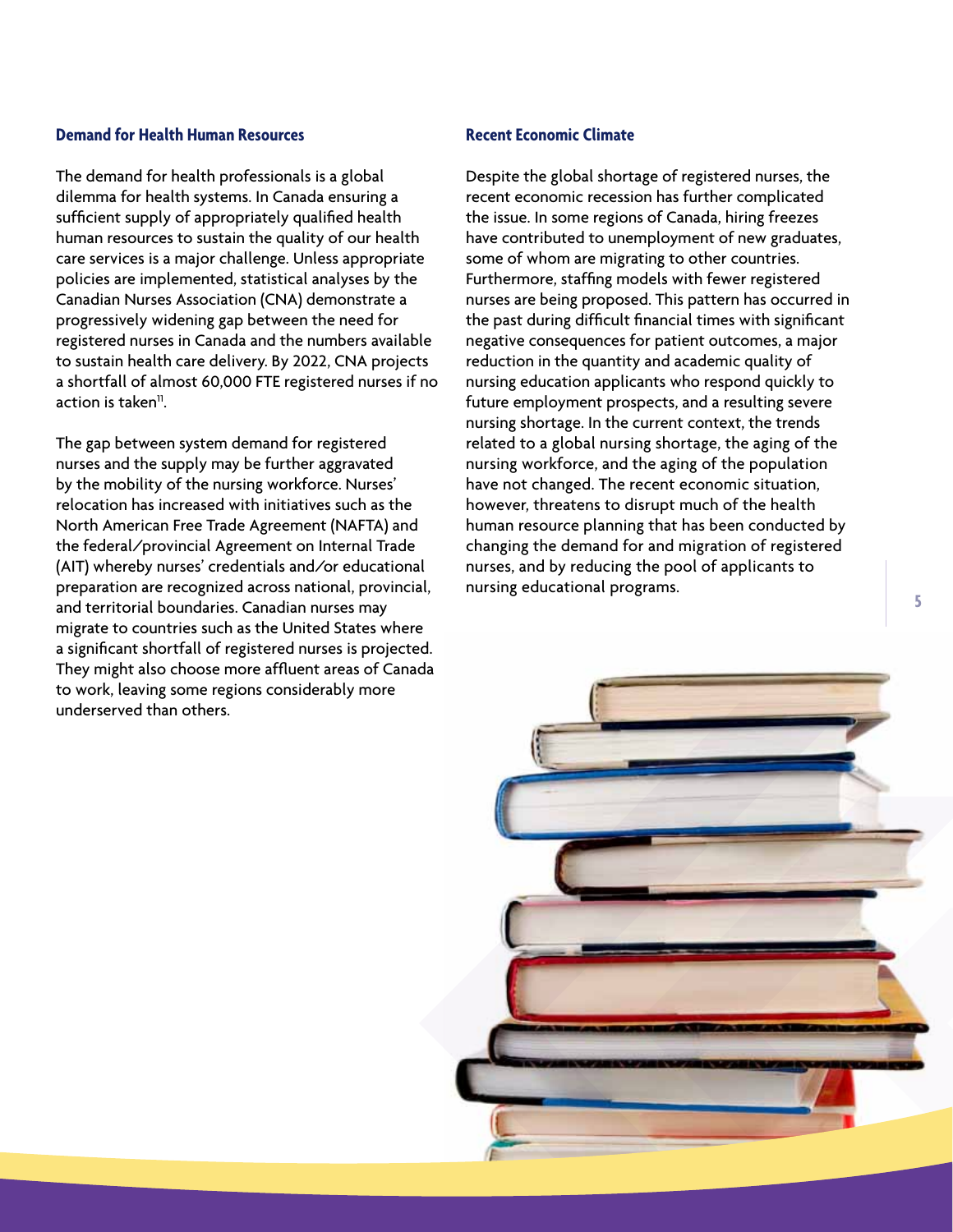### **Demand for Health Human Resources**

The demand for health professionals is a global dilemma for health systems. In Canada ensuring a sufficient supply of appropriately qualified health human resources to sustain the quality of our health care services is a major challenge. Unless appropriate policies are implemented, statistical analyses by the Canadian Nurses Association (CNA) demonstrate a progressively widening gap between the need for registered nurses in Canada and the numbers available to sustain health care delivery. By 2022, CNA projects a shortfall of almost 60,000 FTE registered nurses if no action is taken $<sup>11</sup>$ .</sup>

The gap between system demand for registered nurses and the supply may be further aggravated by the mobility of the nursing workforce. Nurses' relocation has increased with initiatives such as the North American Free Trade Agreement (NAFTA) and the federal/provincial Agreement on Internal Trade (AIT) whereby nurses' credentials and/or educational preparation are recognized across national, provincial, and territorial boundaries. Canadian nurses may migrate to countries such as the United States where a significant shortfall of registered nurses is projected. They might also choose more affluent areas of Canada to work, leaving some regions considerably more underserved than others.

#### **Recent Economic Climate**

Despite the global shortage of registered nurses, the recent economic recession has further complicated the issue. In some regions of Canada, hiring freezes have contributed to unemployment of new graduates, some of whom are migrating to other countries. Furthermore, staffing models with fewer registered nurses are being proposed. This pattern has occurred in the past during difficult financial times with significant negative consequences for patient outcomes, a major reduction in the quantity and academic quality of nursing education applicants who respond quickly to future employment prospects, and a resulting severe nursing shortage. In the current context, the trends related to a global nursing shortage, the aging of the nursing workforce, and the aging of the population have not changed. The recent economic situation, however, threatens to disrupt much of the health human resource planning that has been conducted by changing the demand for and migration of registered nurses, and by reducing the pool of applicants to nursing educational programs.

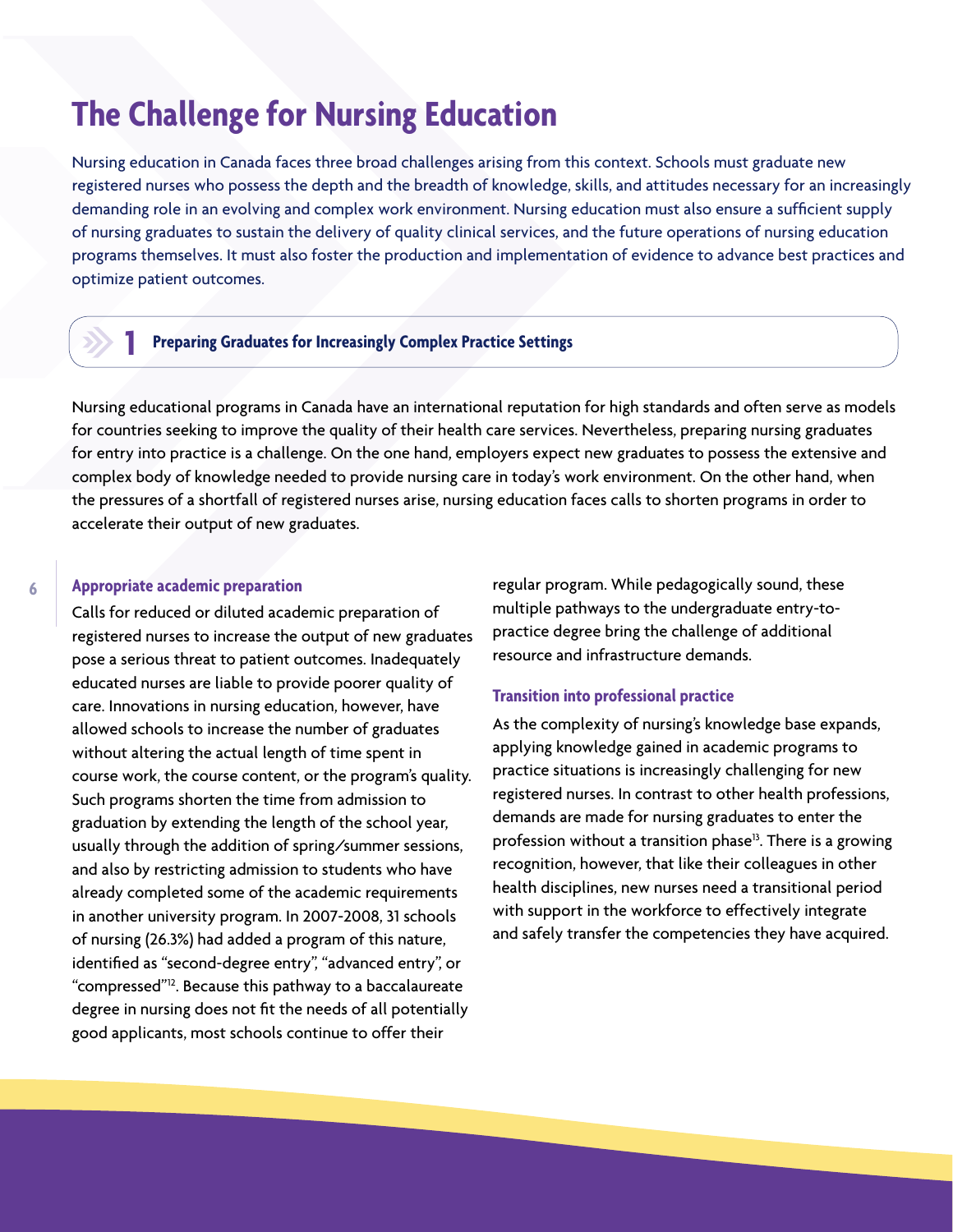## **The Challenge for Nursing Education**

Nursing education in Canada faces three broad challenges arising from this context. Schools must graduate new registered nurses who possess the depth and the breadth of knowledge, skills, and attitudes necessary for an increasingly demanding role in an evolving and complex work environment. Nursing education must also ensure a sufficient supply of nursing graduates to sustain the delivery of quality clinical services, and the future operations of nursing education programs themselves. It must also foster the production and implementation of evidence to advance best practices and optimize patient outcomes.

## **1**

### **Preparing Graduates for Increasingly Complex Practice Settings**

Nursing educational programs in Canada have an international reputation for high standards and often serve as models for countries seeking to improve the quality of their health care services. Nevertheless, preparing nursing graduates for entry into practice is a challenge. On the one hand, employers expect new graduates to possess the extensive and complex body of knowledge needed to provide nursing care in today's work environment. On the other hand, when the pressures of a shortfall of registered nurses arise, nursing education faces calls to shorten programs in order to accelerate their output of new graduates.

### **Appropriate academic preparation**

Calls for reduced or diluted academic preparation of registered nurses to increase the output of new graduates pose a serious threat to patient outcomes. Inadequately educated nurses are liable to provide poorer quality of care. Innovations in nursing education, however, have allowed schools to increase the number of graduates without altering the actual length of time spent in course work, the course content, or the program's quality. Such programs shorten the time from admission to graduation by extending the length of the school year, usually through the addition of spring/summer sessions, and also by restricting admission to students who have already completed some of the academic requirements in another university program. In 2007-2008, 31 schools of nursing (26.3%) had added a program of this nature, identified as "second-degree entry", "advanced entry", or "compressed"12. Because this pathway to a baccalaureate degree in nursing does not fit the needs of all potentially good applicants, most schools continue to offer their

regular program. While pedagogically sound, these multiple pathways to the undergraduate entry-topractice degree bring the challenge of additional resource and infrastructure demands.

### **Transition into professional practice**

As the complexity of nursing's knowledge base expands, applying knowledge gained in academic programs to practice situations is increasingly challenging for new registered nurses. In contrast to other health professions, demands are made for nursing graduates to enter the profession without a transition phase<sup>13</sup>. There is a growing recognition, however, that like their colleagues in other health disciplines, new nurses need a transitional period with support in the workforce to effectively integrate and safely transfer the competencies they have acquired.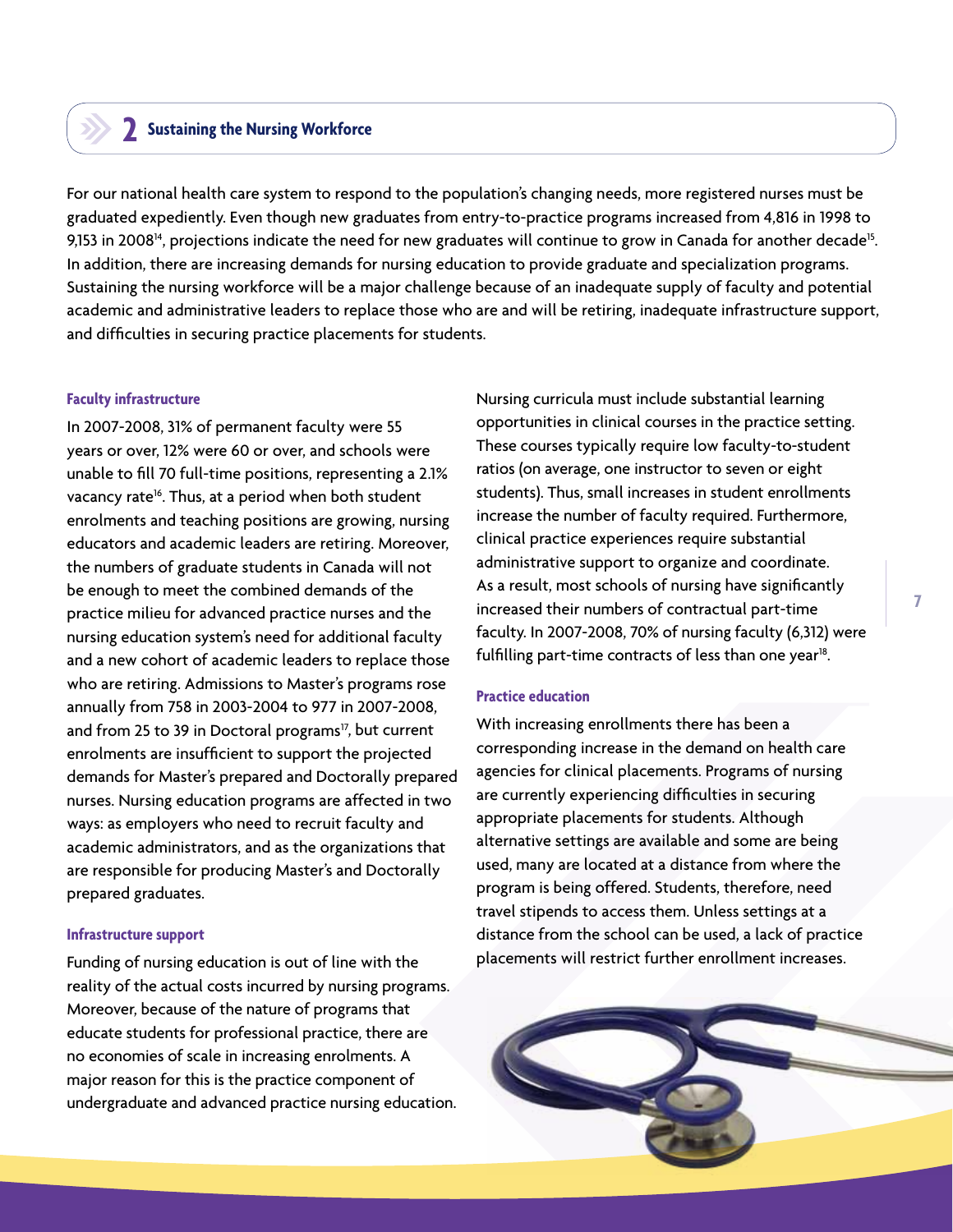## **Sustaining the Nursing Workforce 2**

For our national health care system to respond to the population's changing needs, more registered nurses must be graduated expediently. Even though new graduates from entry-to-practice programs increased from 4,816 in 1998 to 9,153 in 2008<sup>14</sup>, projections indicate the need for new graduates will continue to grow in Canada for another decade<sup>15</sup>. In addition, there are increasing demands for nursing education to provide graduate and specialization programs. Sustaining the nursing workforce will be a major challenge because of an inadequate supply of faculty and potential academic and administrative leaders to replace those who are and will be retiring, inadequate infrastructure support, and difficulties in securing practice placements for students.

#### **Faculty infrastructure**

In 2007-2008, 31% of permanent faculty were 55 years or over, 12% were 60 or over, and schools were unable to fill 70 full-time positions, representing a 2.1% vacancy rate<sup>16</sup>. Thus, at a period when both student enrolments and teaching positions are growing, nursing educators and academic leaders are retiring. Moreover, the numbers of graduate students in Canada will not be enough to meet the combined demands of the practice milieu for advanced practice nurses and the nursing education system's need for additional faculty and a new cohort of academic leaders to replace those who are retiring. Admissions to Master's programs rose annually from 758 in 2003-2004 to 977 in 2007-2008, and from 25 to 39 in Doctoral programs<sup>17</sup>, but current enrolments are insufficient to support the projected demands for Master's prepared and Doctorally prepared nurses. Nursing education programs are affected in two ways: as employers who need to recruit faculty and academic administrators, and as the organizations that are responsible for producing Master's and Doctorally prepared graduates.

#### **Infrastructure support**

Funding of nursing education is out of line with the reality of the actual costs incurred by nursing programs. Moreover, because of the nature of programs that educate students for professional practice, there are no economies of scale in increasing enrolments. A major reason for this is the practice component of undergraduate and advanced practice nursing education.

Nursing curricula must include substantial learning opportunities in clinical courses in the practice setting. These courses typically require low faculty-to-student ratios (on average, one instructor to seven or eight students). Thus, small increases in student enrollments increase the number of faculty required. Furthermore, clinical practice experiences require substantial administrative support to organize and coordinate. As a result, most schools of nursing have significantly increased their numbers of contractual part-time faculty. In 2007-2008, 70% of nursing faculty (6,312) were fulfilling part-time contracts of less than one year $^{18}$ .

#### **Practice education**

With increasing enrollments there has been a corresponding increase in the demand on health care agencies for clinical placements. Programs of nursing are currently experiencing difficulties in securing appropriate placements for students. Although alternative settings are available and some are being used, many are located at a distance from where the program is being offered. Students, therefore, need travel stipends to access them. Unless settings at a distance from the school can be used, a lack of practice placements will restrict further enrollment increases.

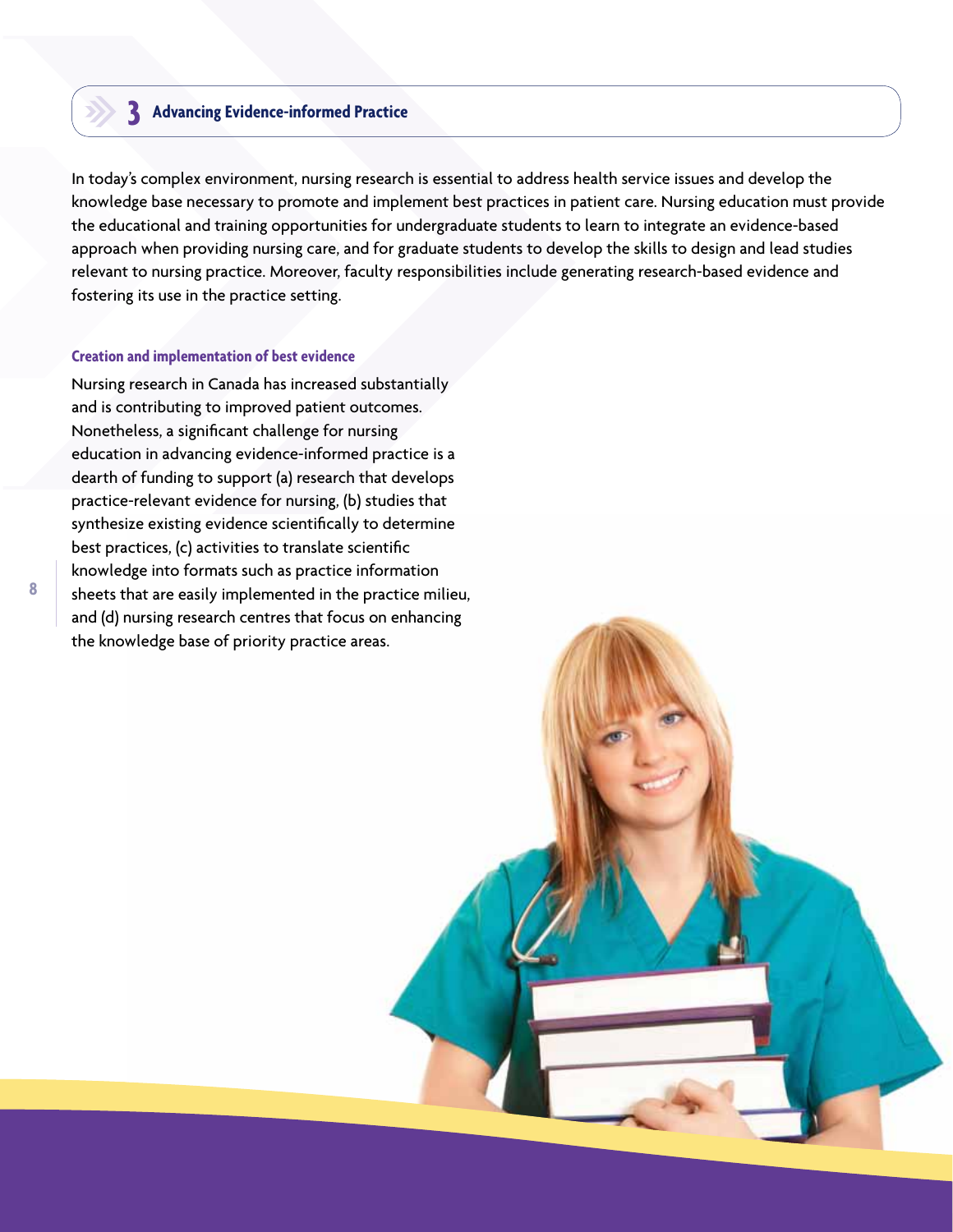## **Advancing Evidence-informed Practice 3**

In today's complex environment, nursing research is essential to address health service issues and develop the knowledge base necessary to promote and implement best practices in patient care. Nursing education must provide the educational and training opportunities for undergraduate students to learn to integrate an evidence-based approach when providing nursing care, and for graduate students to develop the skills to design and lead studies relevant to nursing practice. Moreover, faculty responsibilities include generating research-based evidence and fostering its use in the practice setting.

#### **Creation and implementation of best evidence**

Nursing research in Canada has increased substantially and is contributing to improved patient outcomes. Nonetheless, a significant challenge for nursing education in advancing evidence-informed practice is a dearth of funding to support (a) research that develops practice-relevant evidence for nursing, (b) studies that synthesize existing evidence scientifically to determine best practices, (c) activities to translate scientific knowledge into formats such as practice information sheets that are easily implemented in the practice milieu, and (d) nursing research centres that focus on enhancing the knowledge base of priority practice areas.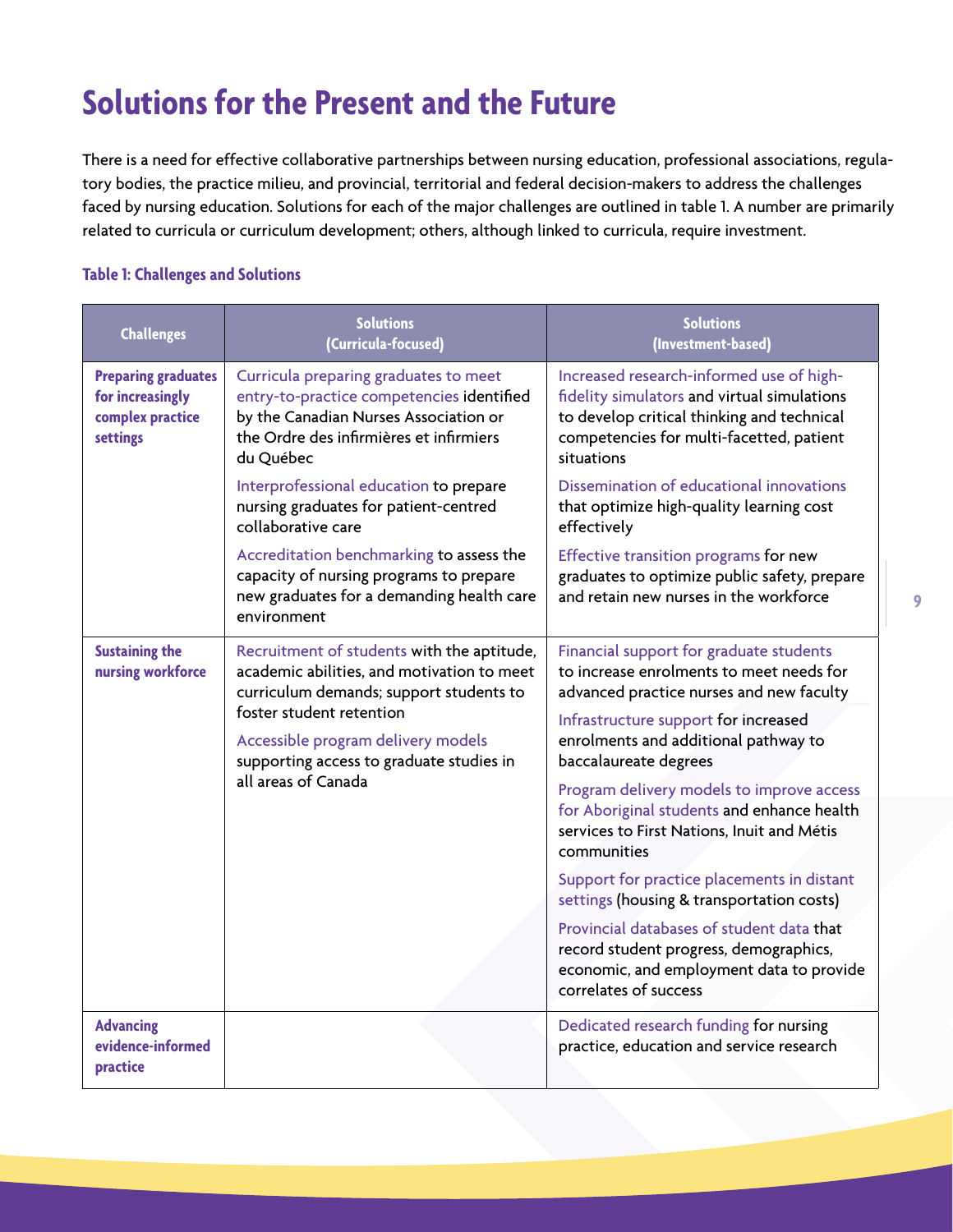# **Solutions for the Present and the Future**

There is a need for effective collaborative partnerships between nursing education, professional associations, regulatory bodies, the practice milieu, and provincial, territorial and federal decision-makers to address the challenges faced by nursing education. Solutions for each of the major challenges are outlined in table 1. A number are primarily related to curricula or curriculum development; others, although linked to curricula, require investment.

## **Table 1: Challenges and Solutions**

| <b>Challenges</b>                                                              | <b>Solutions</b><br>(Curricula-focused)                                                                                                                                             | <b>Solutions</b><br>(Investment-based)                                                                                                                                                          |
|--------------------------------------------------------------------------------|-------------------------------------------------------------------------------------------------------------------------------------------------------------------------------------|-------------------------------------------------------------------------------------------------------------------------------------------------------------------------------------------------|
| <b>Preparing graduates</b><br>for increasingly<br>complex practice<br>settings | Curricula preparing graduates to meet<br>entry-to-practice competencies identified<br>by the Canadian Nurses Association or<br>the Ordre des infirmières et infirmiers<br>du Québec | Increased research-informed use of high-<br>fidelity simulators and virtual simulations<br>to develop critical thinking and technical<br>competencies for multi-facetted, patient<br>situations |
|                                                                                | Interprofessional education to prepare<br>nursing graduates for patient-centred<br>collaborative care                                                                               | Dissemination of educational innovations<br>that optimize high-quality learning cost<br>effectively                                                                                             |
|                                                                                | Accreditation benchmarking to assess the<br>capacity of nursing programs to prepare<br>new graduates for a demanding health care<br>environment                                     | Effective transition programs for new<br>graduates to optimize public safety, prepare<br>and retain new nurses in the workforce                                                                 |
| <b>Sustaining the</b><br>nursing workforce                                     | Recruitment of students with the aptitude,<br>academic abilities, and motivation to meet<br>curriculum demands; support students to                                                 | Financial support for graduate students<br>to increase enrolments to meet needs for<br>advanced practice nurses and new faculty                                                                 |
|                                                                                | foster student retention<br>Accessible program delivery models<br>supporting access to graduate studies in                                                                          | Infrastructure support for increased<br>enrolments and additional pathway to<br>baccalaureate degrees                                                                                           |
|                                                                                | all areas of Canada                                                                                                                                                                 | Program delivery models to improve access<br>for Aboriginal students and enhance health<br>services to First Nations, Inuit and Métis<br>communities                                            |
|                                                                                |                                                                                                                                                                                     | Support for practice placements in distant<br>settings (housing & transportation costs)                                                                                                         |
|                                                                                |                                                                                                                                                                                     | Provincial databases of student data that<br>record student progress, demographics,<br>economic, and employment data to provide<br>correlates of success                                        |
| <b>Advancing</b><br>evidence-informed<br>practice                              |                                                                                                                                                                                     | Dedicated research funding for nursing<br>practice, education and service research                                                                                                              |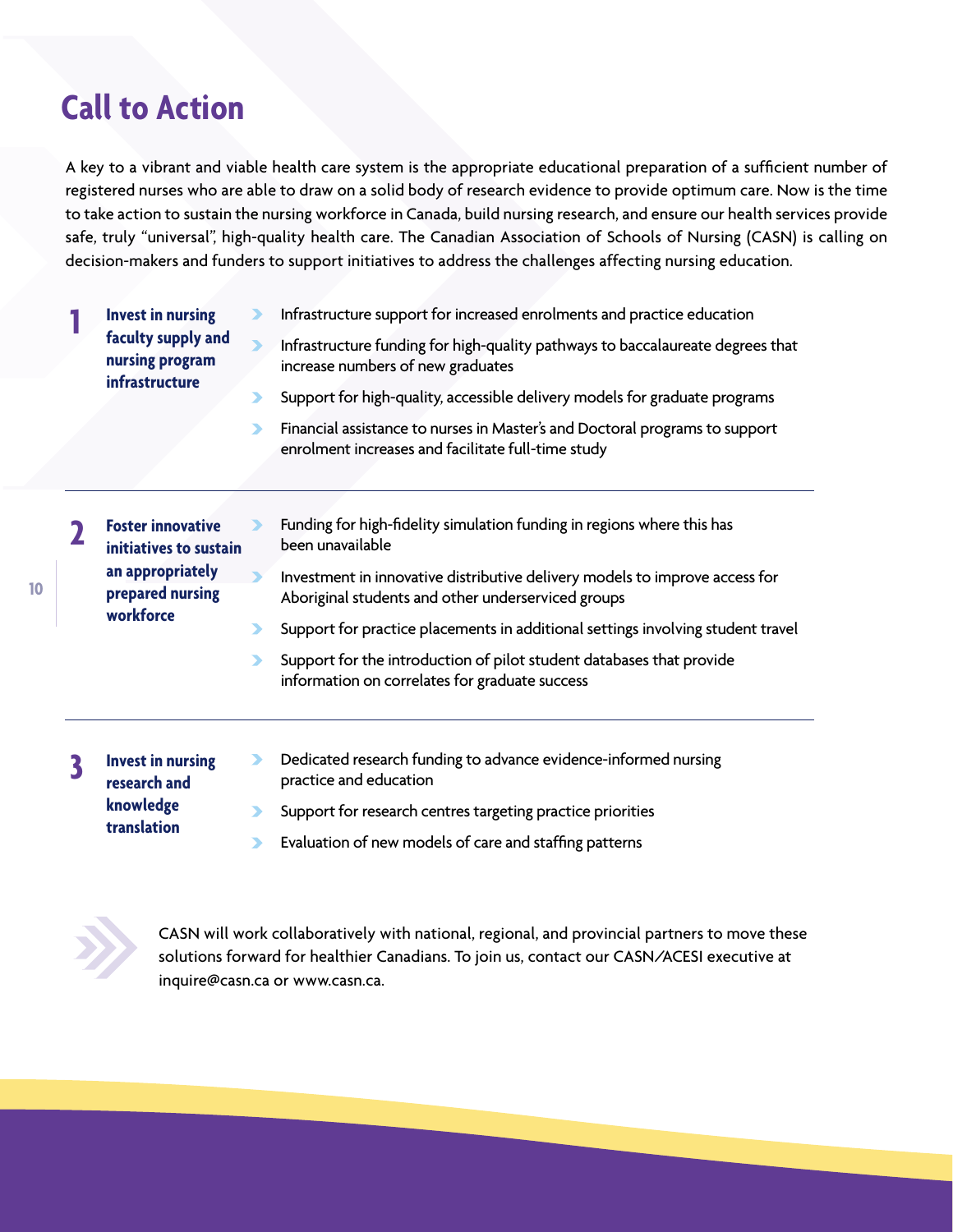## **Call to Action**

A key to a vibrant and viable health care system is the appropriate educational preparation of a sufficient number of registered nurses who are able to draw on a solid body of research evidence to provide optimum care. Now is the time to take action to sustain the nursing workforce in Canada, build nursing research, and ensure our health services provide safe, truly "universal", high-quality health care. The Canadian Association of Schools of Nursing (CASN) is calling on decision-makers and funders to support initiatives to address the challenges affecting nursing education.

**Invest in nursing faculty supply and nursing program infrastructure**

⋗ Infrastructure support for increased enrolments and practice education

### Infrastructure funding for high-quality pathways to baccalaureate degrees that increase numbers of new graduates

- Support for high-quality, accessible delivery models for graduate programs
- Financial assistance to nurses in Master's and Doctoral programs to support  $\blacktriangleright$ enrolment increases and facilitate full-time study

Funding for high-fidelity simulation funding in regions where this has been unavailable Investment in innovative distributive delivery models to improve access for Aboriginal students and other underserviced groups Support for practice placements in additional settings involving student travel **Foster innovative initiatives to sustain an appropriately prepared nursing workforce 2**

- Support for the introduction of pilot student databases that provide  $\blacktriangleright$ information on correlates for graduate success
- **Invest in nursing research and knowledge translation 3**
- Dedicated research funding to advance evidence-informed nursing  $\blacktriangleright$ practice and education
- Support for research centres targeting practice priorities
- Evaluation of new models of care and staffing patterns



CASN will work collaboratively with national, regional, and provincial partners to move these solutions forward for healthier Canadians. To join us, contact our CASN/ACESI executive at inquire@casn.ca or www.casn.ca.

**1**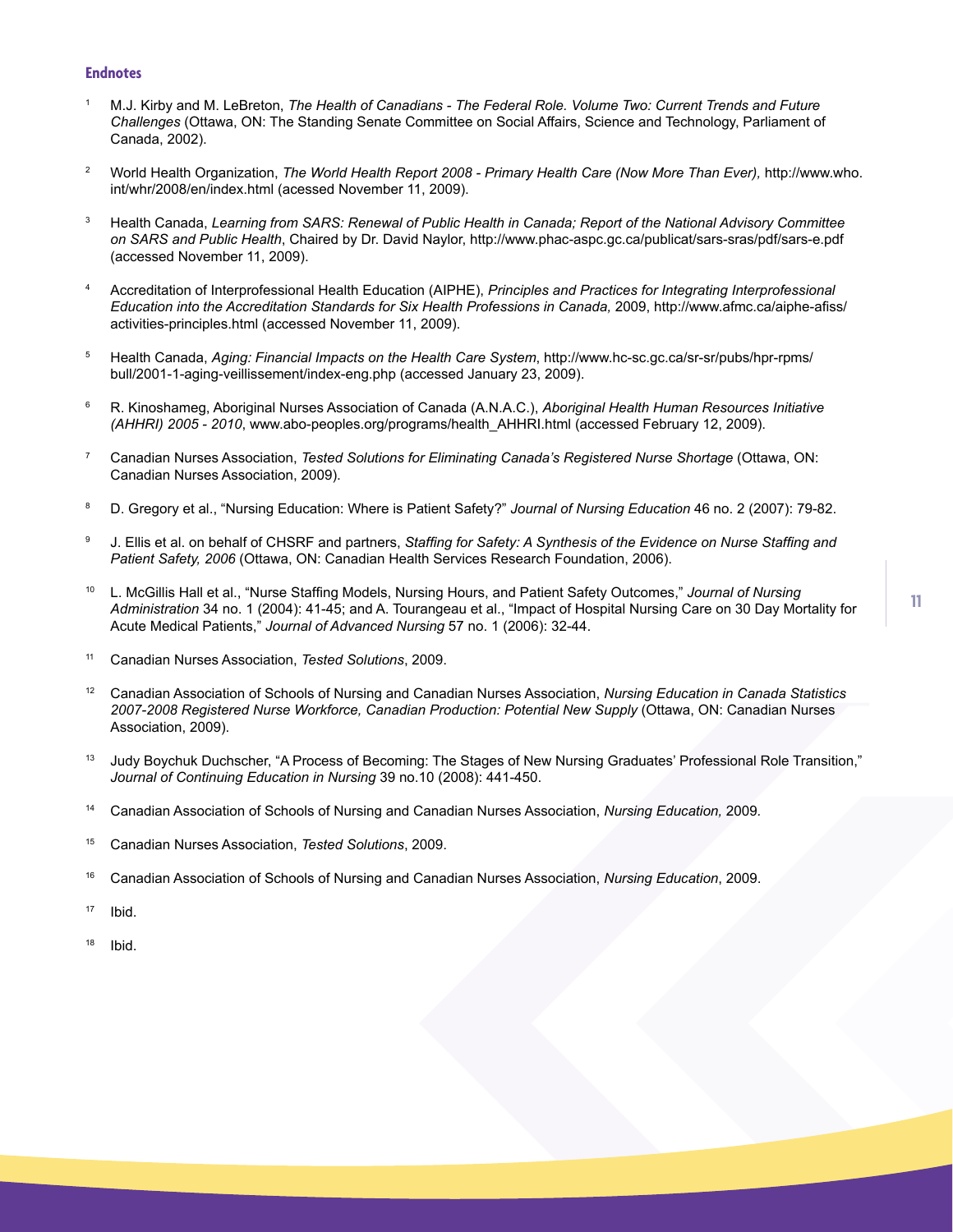#### **Endnotes**

- 1 M.J. Kirby and M. LeBreton, *The Health of Canadians - The Federal Role. Volume Two: Current Trends and Future Challenges* (Ottawa, ON: The Standing Senate Committee on Social Affairs, Science and Technology, Parliament of Canada, 2002).
- 2 World Health Organization, *The World Health Report 2008 - Primary Health Care (Now More Than Ever)*, http://www.who. int/whr/2008/en/index.html (acessed November 11, 2009).
- <sup>3</sup> Health Canada, *Learning from SARS: Renewal of Public Health in Canada; Report of the National Advisory Committee on SARS and Public Health*, Chaired by Dr. David Naylor, http://www.phac-aspc.gc.ca/publicat/sars-sras/pdf/sars-e.pdf (accessed November 11, 2009).
- 4 Accreditation of Interprofessional Health Education (AIPHE), *Principles and Practices for Integrating Interprofessional Education into the Accreditation Standards for Six Health Professions in Canada,* 2009, http://www.afmc.ca/aiphe-afiss/ activities-principles.html (accessed November 11, 2009).
- 5 Health Canada, *Aging: Financial Impacts on the Health Care System*, http://www.hc-sc.gc.ca/sr-sr/pubs/hpr-rpms/ bull/2001-1-aging-veillissement/index-eng.php (accessed January 23, 2009).
- 6 R. Kinoshameg, Aboriginal Nurses Association of Canada (A.N.A.C.), *Aboriginal Health Human Resources Initiative (AHHRI) 2005 - 2010*, www.abo-peoples.org/programs/health\_AHHRI.html (accessed February 12, 2009).
- 7 Canadian Nurses Association, *Tested Solutions for Eliminating Canada's Registered Nurse Shortage* (Ottawa, ON: Canadian Nurses Association, 2009).
- 8 D. Gregory et al., "Nursing Education: Where is Patient Safety?" *Journal of Nursing Education* 46 no. 2 (2007): 79-82.
- 9 J. Ellis et al. on behalf of CHSRF and partners, *Staffing for Safety: A Synthesis of the Evidence on Nurse Staffing and Patient Safety, 2006* (Ottawa, ON: Canadian Health Services Research Foundation, 2006).
- 10 L. McGillis Hall et al., "Nurse Staffing Models, Nursing Hours, and Patient Safety Outcomes," *Journal of Nursing Administration* 34 no. 1 (2004): 41-45; and A. Tourangeau et al., "Impact of Hospital Nursing Care on 30 Day Mortality for Acute Medical Patients," *Journal of Advanced Nursing* 57 no. 1 (2006): 32-44.
- 11 Canadian Nurses Association, *Tested Solutions*, 2009.
- <sup>12</sup> Canadian Association of Schools of Nursing and Canadian Nurses Association, *Nursing Education in Canada Statistics 2007-2008 Registered Nurse Workforce, Canadian Production: Potential New Supply* (Ottawa, ON: Canadian Nurses Association, 2009).
- 13 Judy Boychuk Duchscher, "A Process of Becoming: The Stages of New Nursing Graduates' Professional Role Transition," *Journal of Continuing Education in Nursing* 39 no.10 (2008): 441-450.
- 14 Canadian Association of Schools of Nursing and Canadian Nurses Association, *Nursing Education,* 2009*.*
- 15 Canadian Nurses Association, *Tested Solutions*, 2009.
- <sup>16</sup> Canadian Association of Schools of Nursing and Canadian Nurses Association, *Nursing Education*, 2009.
- $17$  Ibid.
- $18$  Ibid.